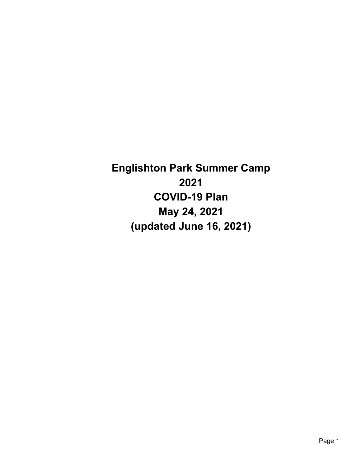**Englishton Park Summer Camp 2021 COVID-19 Plan May 24, 2021 (updated June 16, 2021)**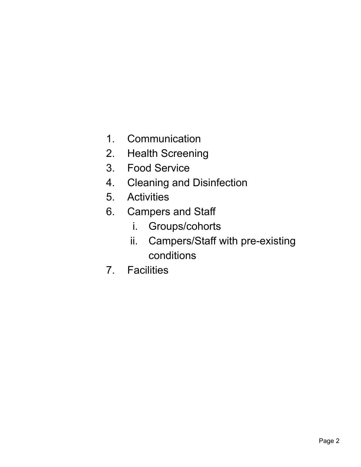- 1. Communication
- 2. Health Screening
- 3. Food Service
- 4. Cleaning and Disinfection
- 5. Activities
- 6. Campers and Staff
	- i. Groups/cohorts
	- ii. Campers/Staff with pre-existing conditions
- 7. Facilities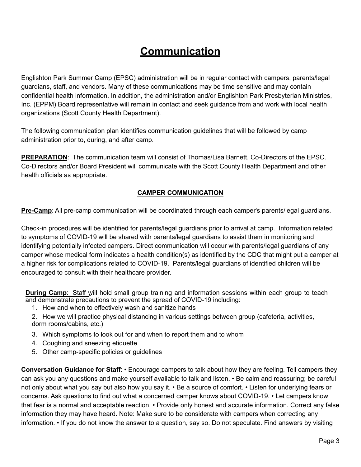# **Communication**

Englishton Park Summer Camp (EPSC) administration will be in regular contact with campers, parents/legal guardians, staff, and vendors. Many of these communications may be time sensitive and may contain confidential health information. In addition, the administration and/or Englishton Park Presbyterian Ministries, Inc. (EPPM) Board representative will remain in contact and seek guidance from and work with local health organizations (Scott County Health Department).

The following communication plan identifies communication guidelines that will be followed by camp administration prior to, during, and after camp.

**PREPARATION**: The communication team will consist of Thomas/Lisa Barnett, Co-Directors of the EPSC. Co-Directors and/or Board President will communicate with the Scott County Health Department and other health officials as appropriate.

#### **CAMPER COMMUNICATION**

**Pre-Camp**: All pre-camp communication will be coordinated through each camper's parents/legal guardians.

Check-in procedures will be identified for parents/legal guardians prior to arrival at camp. Information related to symptoms of COVID-19 will be shared with parents/legal guardians to assist them in monitoring and identifying potentially infected campers. Direct communication will occur with parents/legal guardians of any camper whose medical form indicates a health condition(s) as identified by the CDC that might put a camper at a higher risk for complications related to COVID-19. Parents/legal guardians of identified children will be encouraged to consult with their healthcare provider.

**During Camp**: Staff will hold small group training and information sessions within each group to teach and demonstrate precautions to prevent the spread of COVID-19 including:

1. How and when to effectively wash and sanitize hands

2. How we will practice physical distancing in various settings between group (cafeteria, activities, dorm rooms/cabins, etc.)

- 3. Which symptoms to look out for and when to report them and to whom
- 4. Coughing and sneezing etiquette
- 5. Other camp-specific policies or guidelines

**Conversation Guidance for Staff**: • Encourage campers to talk about how they are feeling. Tell campers they can ask you any questions and make yourself available to talk and listen. • Be calm and reassuring; be careful not only about what you say but also how you say it. • Be a source of comfort. • Listen for underlying fears or concerns. Ask questions to find out what a concerned camper knows about COVID-19. • Let campers know that fear is a normal and acceptable reaction. • Provide only honest and accurate information. Correct any false information they may have heard. Note: Make sure to be considerate with campers when correcting any information. • If you do not know the answer to a question, say so. Do not speculate. Find answers by visiting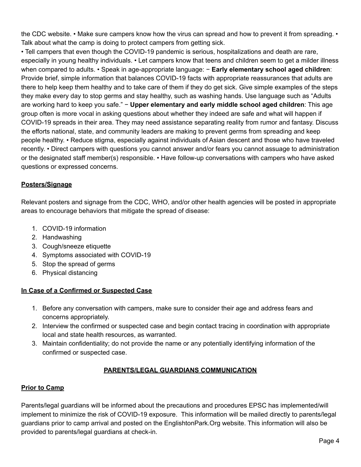the CDC website. • Make sure campers know how the virus can spread and how to prevent it from spreading. • Talk about what the camp is doing to protect campers from getting sick.

• Tell campers that even though the COVID-19 pandemic is serious, hospitalizations and death are rare, especially in young healthy individuals. • Let campers know that teens and children seem to get a milder illness when compared to adults. • Speak in age-appropriate language: − **Early elementary school aged children**: Provide brief, simple information that balances COVID-19 facts with appropriate reassurances that adults are there to help keep them healthy and to take care of them if they do get sick. Give simple examples of the steps they make every day to stop germs and stay healthy, such as washing hands. Use language such as "Adults are working hard to keep you safe." − **Upper elementary and early middle school aged children**: This age group often is more vocal in asking questions about whether they indeed are safe and what will happen if COVID-19 spreads in their area. They may need assistance separating reality from rumor and fantasy. Discuss the efforts national, state, and community leaders are making to prevent germs from spreading and keep people healthy. • Reduce stigma, especially against individuals of Asian descent and those who have traveled recently. • Direct campers with questions you cannot answer and/or fears you cannot assuage to administration or the designated staff member(s) responsible. • Have follow-up conversations with campers who have asked questions or expressed concerns.

# **Posters/Signage**

Relevant posters and signage from the CDC, WHO, and/or other health agencies will be posted in appropriate areas to encourage behaviors that mitigate the spread of disease:

- 1. COVID-19 information
- 2. Handwashing
- 3. Cough/sneeze etiquette
- 4. Symptoms associated with COVID-19
- 5. Stop the spread of germs
- 6. Physical distancing

#### **In Case of a Confirmed or Suspected Case**

- 1. Before any conversation with campers, make sure to consider their age and address fears and concerns appropriately.
- 2. Interview the confirmed or suspected case and begin contact tracing in coordination with appropriate local and state health resources, as warranted.
- 3. Maintain confidentiality; do not provide the name or any potentially identifying information of the confirmed or suspected case.

#### **PARENTS/LEGAL GUARDIANS COMMUNICATION**

#### **Prior to Camp**

Parents/legal guardians will be informed about the precautions and procedures EPSC has implemented/will implement to minimize the risk of COVID-19 exposure. This information will be mailed directly to parents/legal guardians prior to camp arrival and posted on the EnglishtonPark.Org website. This information will also be provided to parents/legal guardians at check-in.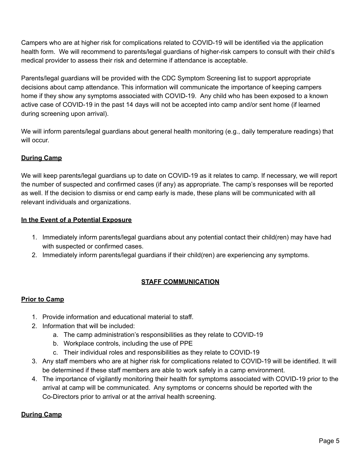Campers who are at higher risk for complications related to COVID-19 will be identified via the application health form. We will recommend to parents/legal guardians of higher-risk campers to consult with their child's medical provider to assess their risk and determine if attendance is acceptable.

Parents/legal guardians will be provided with the CDC Symptom Screening list to support appropriate decisions about camp attendance. This information will communicate the importance of keeping campers home if they show any symptoms associated with COVID-19. Any child who has been exposed to a known active case of COVID-19 in the past 14 days will not be accepted into camp and/or sent home (if learned during screening upon arrival).

We will inform parents/legal guardians about general health monitoring (e.g., daily temperature readings) that will occur.

# **During Camp**

We will keep parents/legal guardians up to date on COVID-19 as it relates to camp. If necessary, we will report the number of suspected and confirmed cases (if any) as appropriate. The camp's responses will be reported as well. If the decision to dismiss or end camp early is made, these plans will be communicated with all relevant individuals and organizations.

## **In the Event of a Potential Exposure**

- 1. Immediately inform parents/legal guardians about any potential contact their child(ren) may have had with suspected or confirmed cases.
- 2. Immediately inform parents/legal guardians if their child(ren) are experiencing any symptoms.

# **STAFF COMMUNICATION**

# **Prior to Camp**

- 1. Provide information and educational material to staff.
- 2. Information that will be included:
	- a. The camp administration's responsibilities as they relate to COVID-19
	- b. Workplace controls, including the use of PPE
	- c. Their individual roles and responsibilities as they relate to COVID-19
- 3. Any staff members who are at higher risk for complications related to COVID-19 will be identified. It will be determined if these staff members are able to work safely in a camp environment.
- 4. The importance of vigilantly monitoring their health for symptoms associated with COVID-19 prior to the arrival at camp will be communicated. Any symptoms or concerns should be reported with the Co-Directors prior to arrival or at the arrival health screening.

# **During Camp**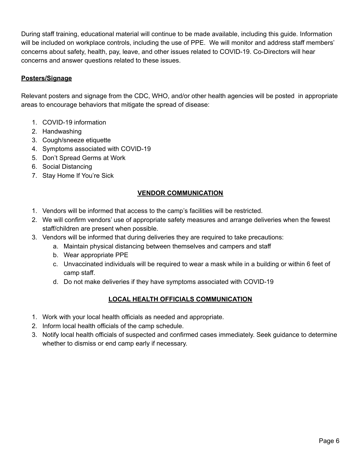During staff training, educational material will continue to be made available, including this guide. Information will be included on workplace controls, including the use of PPE. We will monitor and address staff members' concerns about safety, health, pay, leave, and other issues related to COVID-19. Co-Directors will hear concerns and answer questions related to these issues.

## **Posters/Signage**

Relevant posters and signage from the CDC, WHO, and/or other health agencies will be posted in appropriate areas to encourage behaviors that mitigate the spread of disease:

- 1. COVID-19 information
- 2. Handwashing
- 3. Cough/sneeze etiquette
- 4. Symptoms associated with COVID-19
- 5. Don't Spread Germs at Work
- 6. Social Distancing
- 7. Stay Home If You're Sick

## **VENDOR COMMUNICATION**

- 1. Vendors will be informed that access to the camp's facilities will be restricted.
- 2. We will confirm vendors' use of appropriate safety measures and arrange deliveries when the fewest staff/children are present when possible.
- 3. Vendors will be informed that during deliveries they are required to take precautions:
	- a. Maintain physical distancing between themselves and campers and staff
	- b. Wear appropriate PPE
	- c. Unvaccinated individuals will be required to wear a mask while in a building or within 6 feet of camp staff.
	- d. Do not make deliveries if they have symptoms associated with COVID-19

# **LOCAL HEALTH OFFICIALS COMMUNICATION**

- 1. Work with your local health officials as needed and appropriate.
- 2. Inform local health officials of the camp schedule.
- 3. Notify local health officials of suspected and confirmed cases immediately. Seek guidance to determine whether to dismiss or end camp early if necessary.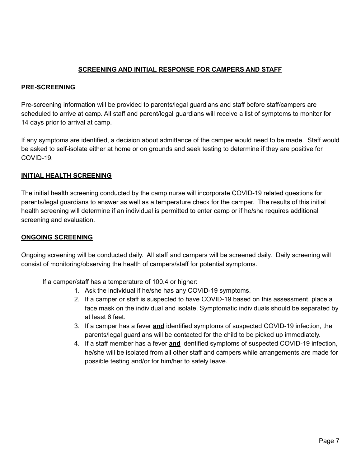## **SCREENING AND INITIAL RESPONSE FOR CAMPERS AND STAFF**

#### **PRE-SCREENING**

Pre-screening information will be provided to parents/legal guardians and staff before staff/campers are scheduled to arrive at camp. All staff and parent/legal guardians will receive a list of symptoms to monitor for 14 days prior to arrival at camp.

If any symptoms are identified, a decision about admittance of the camper would need to be made. Staff would be asked to self-isolate either at home or on grounds and seek testing to determine if they are positive for COVID-19.

#### **INITIAL HEALTH SCREENING**

The initial health screening conducted by the camp nurse will incorporate COVID-19 related questions for parents/legal guardians to answer as well as a temperature check for the camper. The results of this initial health screening will determine if an individual is permitted to enter camp or if he/she requires additional screening and evaluation.

#### **ONGOING SCREENING**

Ongoing screening will be conducted daily. All staff and campers will be screened daily. Daily screening will consist of monitoring/observing the health of campers/staff for potential symptoms.

If a camper/staff has a temperature of 100.4 or higher:

- 1. Ask the individual if he/she has any COVID-19 symptoms.
- 2. If a camper or staff is suspected to have COVID-19 based on this assessment, place a face mask on the individual and isolate. Symptomatic individuals should be separated by at least 6 feet.
- 3. If a camper has a fever **and** identified symptoms of suspected COVID-19 infection, the parents/legal guardians will be contacted for the child to be picked up immediately.
- 4. If a staff member has a fever **and** identified symptoms of suspected COVID-19 infection, he/she will be isolated from all other staff and campers while arrangements are made for possible testing and/or for him/her to safely leave.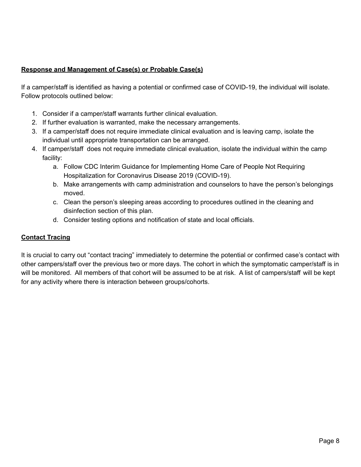# **Response and Management of Case(s) or Probable Case(s)**

If a camper/staff is identified as having a potential or confirmed case of COVID-19, the individual will isolate. Follow protocols outlined below:

- 1. Consider if a camper/staff warrants further clinical evaluation.
- 2. If further evaluation is warranted, make the necessary arrangements.
- 3. If a camper/staff does not require immediate clinical evaluation and is leaving camp, isolate the individual until appropriate transportation can be arranged.
- 4. If camper/staff does not require immediate clinical evaluation, isolate the individual within the camp facility:
	- a. Follow CDC Interim Guidance for Implementing Home Care of People Not Requiring Hospitalization for Coronavirus Disease 2019 (COVID-19).
	- b. Make arrangements with camp administration and counselors to have the person's belongings moved.
	- c. Clean the person's sleeping areas according to procedures outlined in the cleaning and disinfection section of this plan.
	- d. Consider testing options and notification of state and local officials.

# **Contact Tracing**

It is crucial to carry out "contact tracing" immediately to determine the potential or confirmed case's contact with other campers/staff over the previous two or more days. The cohort in which the symptomatic camper/staff is in will be monitored. All members of that cohort will be assumed to be at risk. A list of campers/staff will be kept for any activity where there is interaction between groups/cohorts.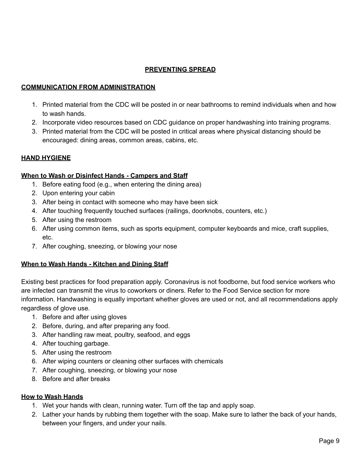# **PREVENTING SPREAD**

#### **COMMUNICATION FROM ADMINISTRATION**

- 1. Printed material from the CDC will be posted in or near bathrooms to remind individuals when and how to wash hands.
- 2. Incorporate video resources based on CDC guidance on proper handwashing into training programs.
- 3. Printed material from the CDC will be posted in critical areas where physical distancing should be encouraged: dining areas, common areas, cabins, etc.

#### **HAND HYGIENE**

#### **When to Wash or Disinfect Hands - Campers and Staff**

- 1. Before eating food (e.g., when entering the dining area)
- 2. Upon entering your cabin
- 3. After being in contact with someone who may have been sick
- 4. After touching frequently touched surfaces (railings, doorknobs, counters, etc.)
- 5. After using the restroom
- 6. After using common items, such as sports equipment, computer keyboards and mice, craft supplies, etc.
- 7. After coughing, sneezing, or blowing your nose

#### **When to Wash Hands - Kitchen and Dining Staff**

Existing best practices for food preparation apply. Coronavirus is not foodborne, but food service workers who are infected can transmit the virus to coworkers or diners. Refer to the Food Service section for more information. Handwashing is equally important whether gloves are used or not, and all recommendations apply regardless of glove use.

- 1. Before and after using gloves
- 2. Before, during, and after preparing any food.
- 3. After handling raw meat, poultry, seafood, and eggs
- 4. After touching garbage.
- 5. After using the restroom
- 6. After wiping counters or cleaning other surfaces with chemicals
- 7. After coughing, sneezing, or blowing your nose
- 8. Before and after breaks

#### **How to Wash Hands**

- 1. Wet your hands with clean, running water. Turn off the tap and apply soap.
- 2. Lather your hands by rubbing them together with the soap. Make sure to lather the back of your hands, between your fingers, and under your nails.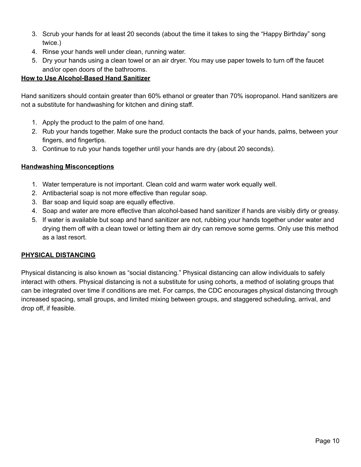- 3. Scrub your hands for at least 20 seconds (about the time it takes to sing the "Happy Birthday" song twice.)
- 4. Rinse your hands well under clean, running water.
- 5. Dry your hands using a clean towel or an air dryer. You may use paper towels to turn off the faucet and/or open doors of the bathrooms.

## **How to Use Alcohol-Based Hand Sanitizer**

Hand sanitizers should contain greater than 60% ethanol or greater than 70% isopropanol. Hand sanitizers are not a substitute for handwashing for kitchen and dining staff.

- 1. Apply the product to the palm of one hand.
- 2. Rub your hands together. Make sure the product contacts the back of your hands, palms, between your fingers, and fingertips.
- 3. Continue to rub your hands together until your hands are dry (about 20 seconds).

## **Handwashing Misconceptions**

- 1. Water temperature is not important. Clean cold and warm water work equally well.
- 2. Antibacterial soap is not more effective than regular soap.
- 3. Bar soap and liquid soap are equally effective.
- 4. Soap and water are more effective than alcohol-based hand sanitizer if hands are visibly dirty or greasy.
- 5. If water is available but soap and hand sanitizer are not, rubbing your hands together under water and drying them off with a clean towel or letting them air dry can remove some germs. Only use this method as a last resort.

# **PHYSICAL DISTANCING**

Physical distancing is also known as "social distancing." Physical distancing can allow individuals to safely interact with others. Physical distancing is not a substitute for using cohorts, a method of isolating groups that can be integrated over time if conditions are met. For camps, the CDC encourages physical distancing through increased spacing, small groups, and limited mixing between groups, and staggered scheduling, arrival, and drop off, if feasible.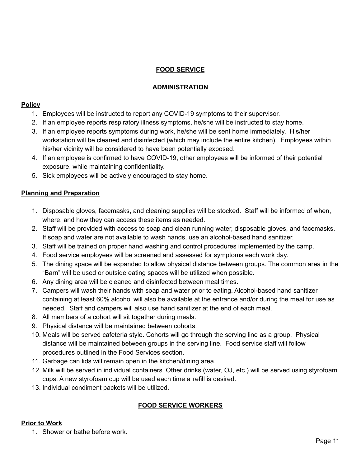# **FOOD SERVICE**

## **ADMINISTRATION**

#### **Policy**

- 1. Employees will be instructed to report any COVID-19 symptoms to their supervisor.
- 2. If an employee reports respiratory illness symptoms, he/she will be instructed to stay home.
- 3. If an employee reports symptoms during work, he/she will be sent home immediately. His/her workstation will be cleaned and disinfected (which may include the entire kitchen). Employees within his/her vicinity will be considered to have been potentially exposed.
- 4. If an employee is confirmed to have COVID-19, other employees will be informed of their potential exposure, while maintaining confidentiality.
- 5. Sick employees will be actively encouraged to stay home.

## **Planning and Preparation**

- 1. Disposable gloves, facemasks, and cleaning supplies will be stocked. Staff will be informed of when, where, and how they can access these items as needed.
- 2. Staff will be provided with access to soap and clean running water, disposable gloves, and facemasks. If soap and water are not available to wash hands, use an alcohol-based hand sanitizer.
- 3. Staff will be trained on proper hand washing and control procedures implemented by the camp.
- 4. Food service employees will be screened and assessed for symptoms each work day.
- 5. The dining space will be expanded to allow physical distance between groups. The common area in the "Barn" will be used or outside eating spaces will be utilized when possible.
- 6. Any dining area will be cleaned and disinfected between meal times.
- 7. Campers will wash their hands with soap and water prior to eating. Alcohol-based hand sanitizer containing at least 60% alcohol will also be available at the entrance and/or during the meal for use as needed. Staff and campers will also use hand sanitizer at the end of each meal.
- 8. All members of a cohort will sit together during meals.
- 9. Physical distance will be maintained between cohorts.
- 10. Meals will be served cafeteria style. Cohorts will go through the serving line as a group. Physical distance will be maintained between groups in the serving line. Food service staff will follow procedures outlined in the Food Services section.
- 11. Garbage can lids will remain open in the kitchen/dining area.
- 12. Milk will be served in individual containers. Other drinks (water, OJ, etc.) will be served using styrofoam cups. A new styrofoam cup will be used each time a refill is desired.
- 13. Individual condiment packets will be utilized.

# **FOOD SERVICE WORKERS**

# **Prior to Work**

1. Shower or bathe before work.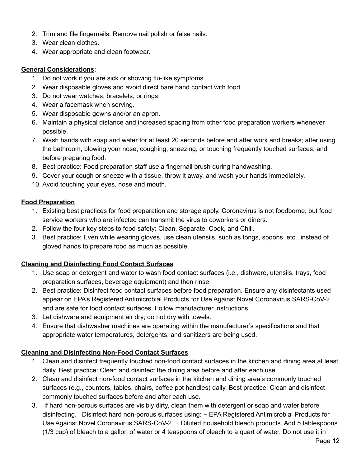- 2. Trim and file fingernails. Remove nail polish or false nails.
- 3. Wear clean clothes.
- 4. Wear appropriate and clean footwear.

### **General Considerations**:

- 1. Do not work if you are sick or showing flu-like symptoms.
- 2. Wear disposable gloves and avoid direct bare hand contact with food.
- 3. Do not wear watches, bracelets, or rings.
- 4. Wear a facemask when serving.
- 5. Wear disposable gowns and/or an apron.
- 6. Maintain a physical distance and increased spacing from other food preparation workers whenever possible.
- 7. Wash hands with soap and water for at least 20 seconds before and after work and breaks; after using the bathroom, blowing your nose, coughing, sneezing, or touching frequently touched surfaces; and before preparing food.
- 8. Best practice: Food preparation staff use a fingernail brush during handwashing.
- 9. Cover your cough or sneeze with a tissue, throw it away, and wash your hands immediately.
- 10. Avoid touching your eyes, nose and mouth.

## **Food Preparation**

- 1. Existing best practices for food preparation and storage apply. Coronavirus is not foodborne, but food service workers who are infected can transmit the virus to coworkers or diners.
- 2. Follow the four key steps to food safety: Clean, Separate, Cook, and Chill.
- 3. Best practice: Even while wearing gloves, use clean utensils, such as tongs, spoons, etc., instead of gloved hands to prepare food as much as possible.

# **Cleaning and Disinfecting Food Contact Surfaces**

- 1. Use soap or detergent and water to wash food contact surfaces (i.e., dishware, utensils, trays, food preparation surfaces, beverage equipment) and then rinse.
- 2. Best practice: Disinfect food contact surfaces before food preparation. Ensure any disinfectants used appear on EPA's Registered Antimicrobial Products for Use Against Novel Coronavirus SARS-CoV-2 and are safe for food contact surfaces. Follow manufacturer instructions.
- 3. Let dishware and equipment air dry; do not dry with towels.
- 4. Ensure that dishwasher machines are operating within the manufacturer's specifications and that appropriate water temperatures, detergents, and sanitizers are being used.

# **Cleaning and Disinfecting Non-Food Contact Surfaces**

- 1. Clean and disinfect frequently touched non-food contact surfaces in the kitchen and dining area at least daily. Best practice: Clean and disinfect the dining area before and after each use.
- 2. Clean and disinfect non-food contact surfaces in the kitchen and dining area's commonly touched surfaces (e.g., counters, tables, chairs, coffee pot handles) daily. Best practice: Clean and disinfect commonly touched surfaces before and after each use.
- 3. If hard non-porous surfaces are visibly dirty, clean them with detergent or soap and water before disinfecting. Disinfect hard non-porous surfaces using: − EPA Registered Antimicrobial Products for Use Against Novel Coronavirus SARS-CoV-2. − Diluted household bleach products. Add 5 tablespoons (1/3 cup) of bleach to a gallon of water or 4 teaspoons of bleach to a quart of water. Do not use it in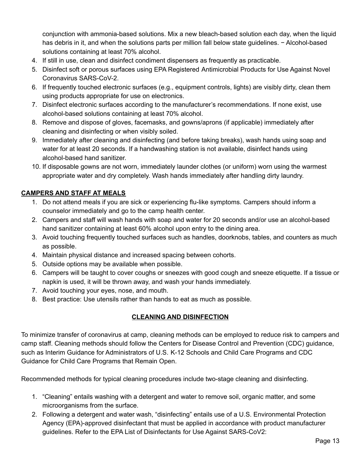conjunction with ammonia-based solutions. Mix a new bleach-based solution each day, when the liquid has debris in it, and when the solutions parts per million fall below state guidelines. − Alcohol-based solutions containing at least 70% alcohol.

- 4. If still in use, clean and disinfect condiment dispensers as frequently as practicable.
- 5. Disinfect soft or porous surfaces using EPA Registered Antimicrobial Products for Use Against Novel Coronavirus SARS-CoV-2.
- 6. If frequently touched electronic surfaces (e.g., equipment controls, lights) are visibly dirty, clean them using products appropriate for use on electronics.
- 7. Disinfect electronic surfaces according to the manufacturer's recommendations. If none exist, use alcohol-based solutions containing at least 70% alcohol.
- 8. Remove and dispose of gloves, facemasks, and gowns/aprons (if applicable) immediately after cleaning and disinfecting or when visibly soiled.
- 9. Immediately after cleaning and disinfecting (and before taking breaks), wash hands using soap and water for at least 20 seconds. If a handwashing station is not available, disinfect hands using alcohol-based hand sanitizer.
- 10. If disposable gowns are not worn, immediately launder clothes (or uniform) worn using the warmest appropriate water and dry completely. Wash hands immediately after handling dirty laundry.

# **CAMPERS AND STAFF AT MEALS**

- 1. Do not attend meals if you are sick or experiencing flu-like symptoms. Campers should inform a counselor immediately and go to the camp health center.
- 2. Campers and staff will wash hands with soap and water for 20 seconds and/or use an alcohol-based hand sanitizer containing at least 60% alcohol upon entry to the dining area.
- 3. Avoid touching frequently touched surfaces such as handles, doorknobs, tables, and counters as much as possible.
- 4. Maintain physical distance and increased spacing between cohorts.
- 5. Outside options may be available when possible.
- 6. Campers will be taught to cover coughs or sneezes with good cough and sneeze etiquette. If a tissue or napkin is used, it will be thrown away, and wash your hands immediately.
- 7. Avoid touching your eyes, nose, and mouth.
- 8. Best practice: Use utensils rather than hands to eat as much as possible.

# **CLEANING AND DISINFECTION**

To minimize transfer of coronavirus at camp, cleaning methods can be employed to reduce risk to campers and camp staff. Cleaning methods should follow the Centers for Disease Control and Prevention (CDC) guidance, such as Interim Guidance for Administrators of U.S. K-12 Schools and Child Care Programs and CDC Guidance for Child Care Programs that Remain Open.

Recommended methods for typical cleaning procedures include two-stage cleaning and disinfecting.

- 1. "Cleaning" entails washing with a detergent and water to remove soil, organic matter, and some microorganisms from the surface.
- 2. Following a detergent and water wash, "disinfecting" entails use of a U.S. Environmental Protection Agency (EPA)-approved disinfectant that must be applied in accordance with product manufacturer guidelines. Refer to the EPA List of Disinfectants for Use Against SARS-CoV2: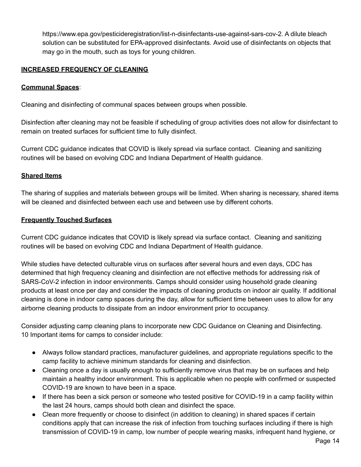https://www.epa.gov/pesticideregistration/list-n-disinfectants-use-against-sars-cov-2. A dilute bleach solution can be substituted for EPA-approved disinfectants. Avoid use of disinfectants on objects that may go in the mouth, such as toys for young children.

#### **INCREASED FREQUENCY OF CLEANING**

#### **Communal Spaces**:

Cleaning and disinfecting of communal spaces between groups when possible.

Disinfection after cleaning may not be feasible if scheduling of group activities does not allow for disinfectant to remain on treated surfaces for sufficient time to fully disinfect.

Current CDC guidance indicates that COVID is likely spread via surface contact. Cleaning and sanitizing routines will be based on evolving CDC and Indiana Department of Health guidance.

#### **Shared Items**

The sharing of supplies and materials between groups will be limited. When sharing is necessary, shared items will be cleaned and disinfected between each use and between use by different cohorts.

#### **Frequently Touched Surfaces**

Current CDC guidance indicates that COVID is likely spread via surface contact. Cleaning and sanitizing routines will be based on evolving CDC and Indiana Department of Health guidance.

While studies have detected culturable virus on surfaces after several hours and even days, CDC has determined that high frequency cleaning and disinfection are not effective methods for addressing risk of SARS-CoV-2 infection in indoor environments. Camps should consider using household grade cleaning products at least once per day and consider the impacts of cleaning products on indoor air quality. If additional cleaning is done in indoor camp spaces during the day, allow for sufficient time between uses to allow for any airborne cleaning products to dissipate from an indoor environment prior to occupancy.

Consider adjusting camp cleaning plans to incorporate new CDC Guidance on Cleaning and Disinfecting. 10 Important items for camps to consider include:

- Always follow standard practices, manufacturer guidelines, and appropriate regulations specific to the camp facility to achieve minimum standards for cleaning and disinfection.
- Cleaning once a day is usually enough to sufficiently remove virus that may be on surfaces and help maintain a healthy indoor environment. This is applicable when no people with confirmed or suspected COVID-19 are known to have been in a space.
- If there has been a sick person or someone who tested positive for COVID-19 in a camp facility within the last 24 hours, camps should both clean and disinfect the space.
- Clean more frequently or choose to disinfect (in addition to cleaning) in shared spaces if certain conditions apply that can increase the risk of infection from touching surfaces including if there is high transmission of COVID-19 in camp, low number of people wearing masks, infrequent hand hygiene, or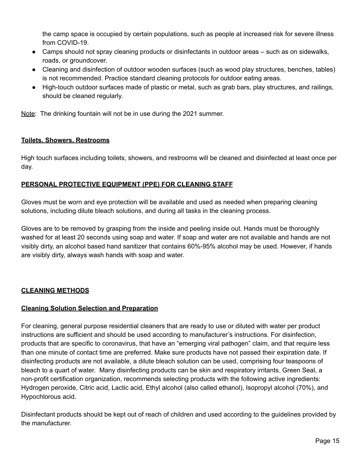the camp space is occupied by certain populations, such as people at increased risk for severe illness from COVID-19.

- Camps should not spray cleaning products or disinfectants in outdoor areas such as on sidewalks, roads, or groundcover.
- Cleaning and disinfection of outdoor wooden surfaces (such as wood play structures, benches, tables) is not recommended. Practice standard cleaning protocols for outdoor eating areas.
- High-touch outdoor surfaces made of plastic or metal, such as grab bars, play structures, and railings, should be cleaned regularly.

Note: The drinking fountain will not be in use during the 2021 summer.

#### **Toilets, Showers, Restrooms**

High touch surfaces including toilets, showers, and restrooms will be cleaned and disinfected at least once per day.

#### **PERSONAL PROTECTIVE EQUIPMENT (PPE) FOR CLEANING STAFF**

Gloves must be worn and eye protection will be available and used as needed when preparing cleaning solutions, including dilute bleach solutions, and during all tasks in the cleaning process.

Gloves are to be removed by grasping from the inside and peeling inside out. Hands must be thoroughly washed for at least 20 seconds using soap and water. If soap and water are not available and hands are not visibly dirty, an alcohol based hand sanitizer that contains 60%-95% alcohol may be used. However, if hands are visibly dirty, always wash hands with soap and water.

#### **CLEANING METHODS**

#### **Cleaning Solution Selection and Preparation**

For cleaning, general purpose residential cleaners that are ready to use or diluted with water per product instructions are sufficient and should be used according to manufacturer's instructions. For disinfection, products that are specific to coronavirus, that have an "emerging viral pathogen" claim, and that require less than one minute of contact time are preferred. Make sure products have not passed their expiration date. If disinfecting products are not available, a dilute bleach solution can be used, comprising four teaspoons of bleach to a quart of water. Many disinfecting products can be skin and respiratory irritants. Green Seal, a non-profit certification organization, recommends selecting products with the following active ingredients: Hydrogen peroxide, Citric acid, Lactic acid, Ethyl alcohol (also called ethanol), Isopropyl alcohol (70%), and Hypochlorous acid.

Disinfectant products should be kept out of reach of children and used according to the guidelines provided by the manufacturer.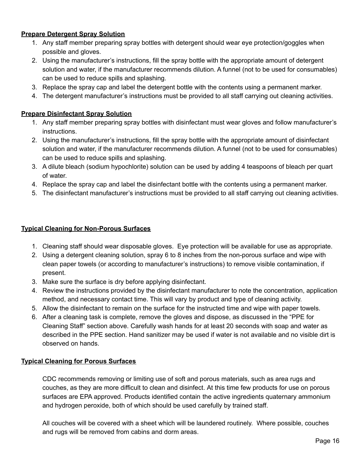#### **Prepare Detergent Spray Solution**

- 1. Any staff member preparing spray bottles with detergent should wear eye protection/goggles when possible and gloves.
- 2. Using the manufacturer's instructions, fill the spray bottle with the appropriate amount of detergent solution and water, if the manufacturer recommends dilution. A funnel (not to be used for consumables) can be used to reduce spills and splashing.
- 3. Replace the spray cap and label the detergent bottle with the contents using a permanent marker.
- 4. The detergent manufacturer's instructions must be provided to all staff carrying out cleaning activities.

## **Prepare Disinfectant Spray Solution**

- 1. Any staff member preparing spray bottles with disinfectant must wear gloves and follow manufacturer's instructions.
- 2. Using the manufacturer's instructions, fill the spray bottle with the appropriate amount of disinfectant solution and water, if the manufacturer recommends dilution. A funnel (not to be used for consumables) can be used to reduce spills and splashing.
- 3. A dilute bleach (sodium hypochlorite) solution can be used by adding 4 teaspoons of bleach per quart of water.
- 4. Replace the spray cap and label the disinfectant bottle with the contents using a permanent marker.
- 5. The disinfectant manufacturer's instructions must be provided to all staff carrying out cleaning activities.

#### **Typical Cleaning for Non-Porous Surfaces**

- 1. Cleaning staff should wear disposable gloves. Eye protection will be available for use as appropriate.
- 2. Using a detergent cleaning solution, spray 6 to 8 inches from the non-porous surface and wipe with clean paper towels (or according to manufacturer's instructions) to remove visible contamination, if present.
- 3. Make sure the surface is dry before applying disinfectant.
- 4. Review the instructions provided by the disinfectant manufacturer to note the concentration, application method, and necessary contact time. This will vary by product and type of cleaning activity.
- 5. Allow the disinfectant to remain on the surface for the instructed time and wipe with paper towels.
- 6. After a cleaning task is complete, remove the gloves and dispose, as discussed in the "PPE for Cleaning Staff" section above. Carefully wash hands for at least 20 seconds with soap and water as described in the PPE section. Hand sanitizer may be used if water is not available and no visible dirt is observed on hands.

#### **Typical Cleaning for Porous Surfaces**

CDC recommends removing or limiting use of soft and porous materials, such as area rugs and couches, as they are more difficult to clean and disinfect. At this time few products for use on porous surfaces are EPA approved. Products identified contain the active ingredients quaternary ammonium and hydrogen peroxide, both of which should be used carefully by trained staff.

All couches will be covered with a sheet which will be laundered routinely. Where possible, couches and rugs will be removed from cabins and dorm areas.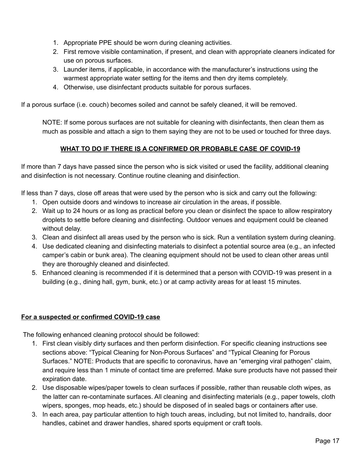- 1. Appropriate PPE should be worn during cleaning activities.
- 2. First remove visible contamination, if present, and clean with appropriate cleaners indicated for use on porous surfaces.
- 3. Launder items, if applicable, in accordance with the manufacturer's instructions using the warmest appropriate water setting for the items and then dry items completely.
- 4. Otherwise, use disinfectant products suitable for porous surfaces.

If a porous surface (i.e. couch) becomes soiled and cannot be safely cleaned, it will be removed.

NOTE: If some porous surfaces are not suitable for cleaning with disinfectants, then clean them as much as possible and attach a sign to them saying they are not to be used or touched for three days.

## **WHAT TO DO IF THERE IS A CONFIRMED OR PROBABLE CASE OF COVID-19**

If more than 7 days have passed since the person who is sick visited or used the facility, additional cleaning and disinfection is not necessary. Continue routine cleaning and disinfection.

If less than 7 days, close off areas that were used by the person who is sick and carry out the following:

- 1. Open outside doors and windows to increase air circulation in the areas, if possible.
- 2. Wait up to 24 hours or as long as practical before you clean or disinfect the space to allow respiratory droplets to settle before cleaning and disinfecting. Outdoor venues and equipment could be cleaned without delay.
- 3. Clean and disinfect all areas used by the person who is sick. Run a ventilation system during cleaning.
- 4. Use dedicated cleaning and disinfecting materials to disinfect a potential source area (e.g., an infected camper's cabin or bunk area). The cleaning equipment should not be used to clean other areas until they are thoroughly cleaned and disinfected.
- 5. Enhanced cleaning is recommended if it is determined that a person with COVID-19 was present in a building (e.g., dining hall, gym, bunk, etc.) or at camp activity areas for at least 15 minutes.

#### **For a suspected or confirmed COVID-19 case**

The following enhanced cleaning protocol should be followed:

- 1. First clean visibly dirty surfaces and then perform disinfection. For specific cleaning instructions see sections above: "Typical Cleaning for Non-Porous Surfaces" and "Typical Cleaning for Porous Surfaces." NOTE: Products that are specific to coronavirus, have an "emerging viral pathogen" claim, and require less than 1 minute of contact time are preferred. Make sure products have not passed their expiration date.
- 2. Use disposable wipes/paper towels to clean surfaces if possible, rather than reusable cloth wipes, as the latter can re-contaminate surfaces. All cleaning and disinfecting materials (e.g., paper towels, cloth wipers, sponges, mop heads, etc.) should be disposed of in sealed bags or containers after use.
- 3. In each area, pay particular attention to high touch areas, including, but not limited to, handrails, door handles, cabinet and drawer handles, shared sports equipment or craft tools.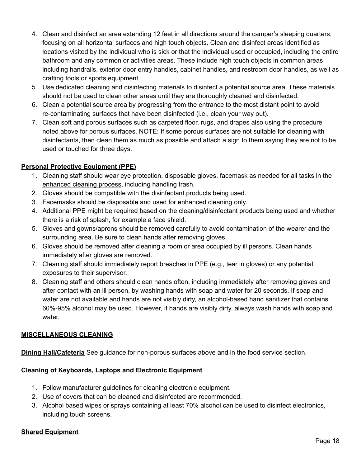- 4. Clean and disinfect an area extending 12 feet in all directions around the camper's sleeping quarters, focusing on all horizontal surfaces and high touch objects. Clean and disinfect areas identified as locations visited by the individual who is sick or that the individual used or occupied, including the entire bathroom and any common or activities areas. These include high touch objects in common areas including handrails, exterior door entry handles, cabinet handles, and restroom door handles, as well as crafting tools or sports equipment.
- 5. Use dedicated cleaning and disinfecting materials to disinfect a potential source area. These materials should not be used to clean other areas until they are thoroughly cleaned and disinfected.
- 6. Clean a potential source area by progressing from the entrance to the most distant point to avoid re-contaminating surfaces that have been disinfected (i.e., clean your way out).
- 7. Clean soft and porous surfaces such as carpeted floor, rugs, and drapes also using the procedure noted above for porous surfaces. NOTE: If some porous surfaces are not suitable for cleaning with disinfectants, then clean them as much as possible and attach a sign to them saying they are not to be used or touched for three days.

## **Personal Protective Equipment (PPE)**

- 1. Cleaning staff should wear eye protection, disposable gloves, facemask as needed for all tasks in the enhanced cleaning process, including handling trash.
- 2. Gloves should be compatible with the disinfectant products being used.
- 3. Facemasks should be disposable and used for enhanced cleaning only.
- 4. Additional PPE might be required based on the cleaning/disinfectant products being used and whether there is a risk of splash, for example a face shield.
- 5. Gloves and gowns/aprons should be removed carefully to avoid contamination of the wearer and the surrounding area. Be sure to clean hands after removing gloves.
- 6. Gloves should be removed after cleaning a room or area occupied by ill persons. Clean hands immediately after gloves are removed.
- 7. Cleaning staff should immediately report breaches in PPE (e.g., tear in gloves) or any potential exposures to their supervisor.
- 8. Cleaning staff and others should clean hands often, including immediately after removing gloves and after contact with an ill person, by washing hands with soap and water for 20 seconds. If soap and water are not available and hands are not visibly dirty, an alcohol-based hand sanitizer that contains 60%-95% alcohol may be used. However, if hands are visibly dirty, always wash hands with soap and water.

#### **MISCELLANEOUS CLEANING**

**Dining Hall/Cafeteria** See guidance for non-porous surfaces above and in the food service section.

#### **Cleaning of Keyboards, Laptops and Electronic Equipment**

- 1. Follow manufacturer guidelines for cleaning electronic equipment.
- 2. Use of covers that can be cleaned and disinfected are recommended.
- 3. Alcohol based wipes or sprays containing at least 70% alcohol can be used to disinfect electronics, including touch screens.

### **Shared Equipment**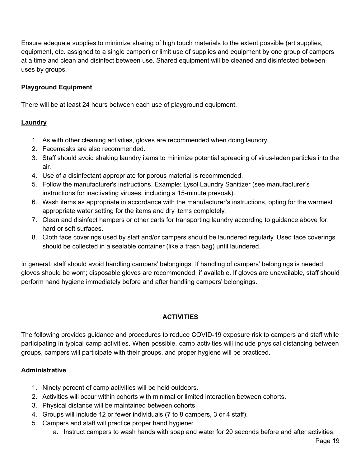Ensure adequate supplies to minimize sharing of high touch materials to the extent possible (art supplies, equipment, etc. assigned to a single camper) or limit use of supplies and equipment by one group of campers at a time and clean and disinfect between use. Shared equipment will be cleaned and disinfected between uses by groups.

## **Playground Equipment**

There will be at least 24 hours between each use of playground equipment.

#### **Laundry**

- 1. As with other cleaning activities, gloves are recommended when doing laundry.
- 2. Facemasks are also recommended.
- 3. Staff should avoid shaking laundry items to minimize potential spreading of virus-laden particles into the air.
- 4. Use of a disinfectant appropriate for porous material is recommended.
- 5. Follow the manufacturer's instructions. Example: Lysol Laundry Sanitizer (see manufacturer's instructions for inactivating viruses, including a 15-minute presoak).
- 6. Wash items as appropriate in accordance with the manufacturer's instructions, opting for the warmest appropriate water setting for the items and dry items completely.
- 7. Clean and disinfect hampers or other carts for transporting laundry according to guidance above for hard or soft surfaces.
- 8. Cloth face coverings used by staff and/or campers should be laundered regularly. Used face coverings should be collected in a sealable container (like a trash bag) until laundered.

In general, staff should avoid handling campers' belongings. If handling of campers' belongings is needed, gloves should be worn; disposable gloves are recommended, if available. If gloves are unavailable, staff should perform hand hygiene immediately before and after handling campers' belongings.

#### **ACTIVITIES**

The following provides guidance and procedures to reduce COVID-19 exposure risk to campers and staff while participating in typical camp activities. When possible, camp activities will include physical distancing between groups, campers will participate with their groups, and proper hygiene will be practiced.

#### **Administrative**

- 1. Ninety percent of camp activities will be held outdoors.
- 2. Activities will occur within cohorts with minimal or limited interaction between cohorts.
- 3. Physical distance will be maintained between cohorts.
- 4. Groups will include 12 or fewer individuals (7 to 8 campers, 3 or 4 staff).
- 5. Campers and staff will practice proper hand hygiene:
	- a. Instruct campers to wash hands with soap and water for 20 seconds before and after activities.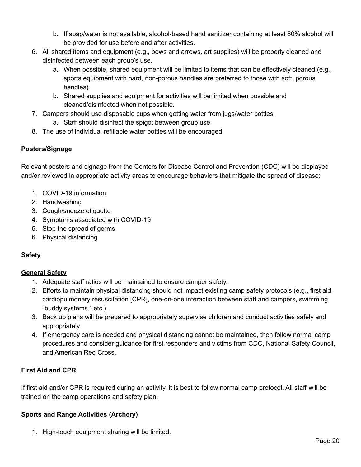- b. If soap/water is not available, alcohol-based hand sanitizer containing at least 60% alcohol will be provided for use before and after activities.
- 6. All shared items and equipment (e.g., bows and arrows, art supplies) will be properly cleaned and disinfected between each group's use.
	- a. When possible, shared equipment will be limited to items that can be effectively cleaned (e.g., sports equipment with hard, non-porous handles are preferred to those with soft, porous handles).
	- b. Shared supplies and equipment for activities will be limited when possible and cleaned/disinfected when not possible.
- 7. Campers should use disposable cups when getting water from jugs/water bottles.
	- a. Staff should disinfect the spigot between group use.
- 8. The use of individual refillable water bottles will be encouraged.

# **Posters/Signage**

Relevant posters and signage from the Centers for Disease Control and Prevention (CDC) will be displayed and/or reviewed in appropriate activity areas to encourage behaviors that mitigate the spread of disease:

- 1. COVID-19 information
- 2. Handwashing
- 3. Cough/sneeze etiquette
- 4. Symptoms associated with COVID-19
- 5. Stop the spread of germs
- 6. Physical distancing

# **Safety**

# **General Safety**

- 1. Adequate staff ratios will be maintained to ensure camper safety.
- 2. Efforts to maintain physical distancing should not impact existing camp safety protocols (e.g., first aid, cardiopulmonary resuscitation [CPR], one-on-one interaction between staff and campers, swimming "buddy systems," etc.).
- 3. Back up plans will be prepared to appropriately supervise children and conduct activities safely and appropriately.
- 4. If emergency care is needed and physical distancing cannot be maintained, then follow normal camp procedures and consider guidance for first responders and victims from CDC, National Safety Council, and American Red Cross.

# **First Aid and CPR**

If first aid and/or CPR is required during an activity, it is best to follow normal camp protocol. All staff will be trained on the camp operations and safety plan.

# **Sports and Range Activities (Archery)**

1. High-touch equipment sharing will be limited.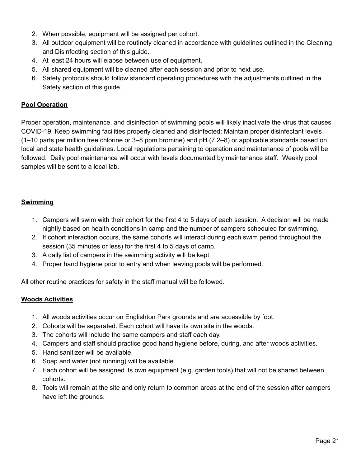- 2. When possible, equipment will be assigned per cohort.
- 3. All outdoor equipment will be routinely cleaned in accordance with guidelines outlined in the Cleaning and Disinfecting section of this guide.
- 4. At least 24 hours will elapse between use of equipment.
- 5. All shared equipment will be cleaned after each session and prior to next use.
- 6. Safety protocols should follow standard operating procedures with the adjustments outlined in the Safety section of this guide.

#### **Pool Operation**

Proper operation, maintenance, and disinfection of swimming pools will likely inactivate the virus that causes COVID-19. Keep swimming facilities properly cleaned and disinfected: Maintain proper disinfectant levels (1–10 parts per million free chlorine or 3–8 ppm bromine) and pH (7.2–8) or applicable standards based on local and state health guidelines. Local regulations pertaining to operation and maintenance of pools will be followed. Daily pool maintenance will occur with levels documented by maintenance staff. Weekly pool samples will be sent to a local lab.

#### **Swimming**

- 1. Campers will swim with their cohort for the first 4 to 5 days of each session. A decision will be made nightly based on health conditions in camp and the number of campers scheduled for swimming.
- 2. If cohort interaction occurs, the same cohorts will interact during each swim period throughout the session (35 minutes or less) for the first 4 to 5 days of camp.
- 3. A daily list of campers in the swimming activity will be kept.
- 4. Proper hand hygiene prior to entry and when leaving pools will be performed.

All other routine practices for safety in the staff manual will be followed.

#### **Woods Activities**

- 1. All woods activities occur on Englishton Park grounds and are accessible by foot.
- 2. Cohorts will be separated. Each cohort will have its own site in the woods.
- 3. The cohorts will include the same campers and staff each day.
- 4. Campers and staff should practice good hand hygiene before, during, and after woods activities.
- 5. Hand sanitizer will be available.
- 6. Soap and water (not running) will be available.
- 7. Each cohort will be assigned its own equipment (e.g. garden tools) that will not be shared between cohorts.
- 8. Tools will remain at the site and only return to common areas at the end of the session after campers have left the grounds.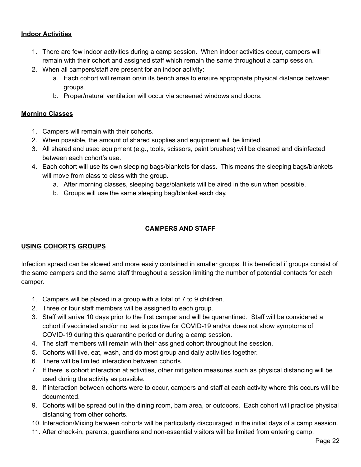#### **Indoor Activities**

- 1. There are few indoor activities during a camp session. When indoor activities occur, campers will remain with their cohort and assigned staff which remain the same throughout a camp session.
- 2. When all campers/staff are present for an indoor activity:
	- a. Each cohort will remain on/in its bench area to ensure appropriate physical distance between groups.
	- b. Proper/natural ventilation will occur via screened windows and doors.

#### **Morning Classes**

- 1. Campers will remain with their cohorts.
- 2. When possible, the amount of shared supplies and equipment will be limited.
- 3. All shared and used equipment (e.g., tools, scissors, paint brushes) will be cleaned and disinfected between each cohort's use.
- 4. Each cohort will use its own sleeping bags/blankets for class. This means the sleeping bags/blankets will move from class to class with the group.
	- a. After morning classes, sleeping bags/blankets will be aired in the sun when possible.
	- b. Groups will use the same sleeping bag/blanket each day.

## **CAMPERS AND STAFF**

#### **USING COHORTS GROUPS**

Infection spread can be slowed and more easily contained in smaller groups. It is beneficial if groups consist of the same campers and the same staff throughout a session limiting the number of potential contacts for each camper.

- 1. Campers will be placed in a group with a total of 7 to 9 children.
- 2. Three or four staff members will be assigned to each group.
- 3. Staff will arrive 10 days prior to the first camper and will be quarantined. Staff will be considered a cohort if vaccinated and/or no test is positive for COVID-19 and/or does not show symptoms of COVID-19 during this quarantine period or during a camp session.
- 4. The staff members will remain with their assigned cohort throughout the session.
- 5. Cohorts will live, eat, wash, and do most group and daily activities together.
- 6. There will be limited interaction between cohorts.
- 7. If there is cohort interaction at activities, other mitigation measures such as physical distancing will be used during the activity as possible.
- 8. If interaction between cohorts were to occur, campers and staff at each activity where this occurs will be documented.
- 9. Cohorts will be spread out in the dining room, barn area, or outdoors. Each cohort will practice physical distancing from other cohorts.
- 10. Interaction/Mixing between cohorts will be particularly discouraged in the initial days of a camp session.
- 11. After check-in, parents, guardians and non-essential visitors will be limited from entering camp.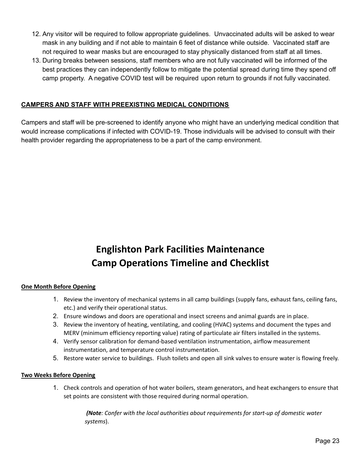- 12. Any visitor will be required to follow appropriate guidelines. Unvaccinated adults will be asked to wear mask in any building and if not able to maintain 6 feet of distance while outside. Vaccinated staff are not required to wear masks but are encouraged to stay physically distanced from staff at all times.
- 13. During breaks between sessions, staff members who are not fully vaccinated will be informed of the best practices they can independently follow to mitigate the potential spread during time they spend off camp property. A negative COVID test will be required upon return to grounds if not fully vaccinated.

#### **CAMPERS AND STAFF WITH PREEXISTING MEDICAL CONDITIONS**

Campers and staff will be pre-screened to identify anyone who might have an underlying medical condition that would increase complications if infected with COVID-19. Those individuals will be advised to consult with their health provider regarding the appropriateness to be a part of the camp environment.

# **Englishton Park Facilities Maintenance Camp Operations Timeline and Checklist**

#### **One Month Before Opening**

- 1. Review the inventory of mechanical systems in all camp buildings (supply fans, exhaust fans, ceiling fans, etc.) and verify their operational status.
- 2. Ensure windows and doors are operational and insect screens and animal guards are in place.
- 3. Review the inventory of heating, ventilating, and cooling (HVAC) systems and document the types and MERV (minimum efficiency reporting value) rating of particulate air filters installed in the systems.
- 4. Verify sensor calibration for demand-based ventilation instrumentation, airflow measurement instrumentation, and temperature control instrumentation.
- 5. Restore water service to buildings. Flush toilets and open all sink valves to ensure water is flowing freely.

#### **Two Weeks Before Opening**

1. Check controls and operation of hot water boilers, steam generators, and heat exchangers to ensure that set points are consistent with those required during normal operation.

> *(Note: Confer with the local authorities about requirements for start-up of domestic water systems*).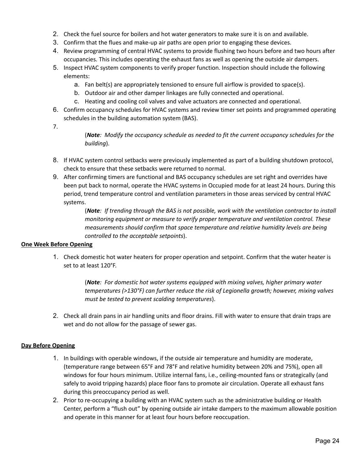- 2. Check the fuel source for boilers and hot water generators to make sure it is on and available.
- 3. Confirm that the flues and make-up air paths are open prior to engaging these devices.
- 4. Review programming of central HVAC systems to provide flushing two hours before and two hours after occupancies. This includes operating the exhaust fans as well as opening the outside air dampers.
- 5. Inspect HVAC system components to verify proper function. Inspection should include the following elements:
	- a. Fan belt(s) are appropriately tensioned to ensure full airflow is provided to space(s).
	- b. Outdoor air and other damper linkages are fully connected and operational.
	- c. Heating and cooling coil valves and valve actuators are connected and operational.
- 6. Confirm occupancy schedules for HVAC systems and review timer set points and programmed operating schedules in the building automation system (BAS).
- 7.

(*Note: Modify the occupancy schedule as needed to fit the current occupancy schedules for the building*).

- 8. If HVAC system control setbacks were previously implemented as part of a building shutdown protocol, check to ensure that these setbacks were returned to normal.
- 9. After confirming timers are functional and BAS occupancy schedules are set right and overrides have been put back to normal, operate the HVAC systems in Occupied mode for at least 24 hours. During this period, trend temperature control and ventilation parameters in those areas serviced by central HVAC systems.

(*Note: If trending through the BAS is not possible, work with the ventilation contractor to install monitoring equipment or measure to verify proper temperature and ventilation control. These measurements should confirm that space temperature and relative humidity levels are being controlled to the acceptable setpoints*).

#### **One Week Before Opening**

1. Check domestic hot water heaters for proper operation and setpoint. Confirm that the water heater is set to at least 120°F.

> (*Note: For domestic hot water systems equipped with mixing valves, higher primary water temperatures (>130°F) can further reduce the risk of Legionella growth; however, mixing valves must be tested to prevent scalding temperatures*).

2. Check all drain pans in air handling units and floor drains. Fill with water to ensure that drain traps are wet and do not allow for the passage of sewer gas.

#### **Day Before Opening**

- 1. In buildings with operable windows, if the outside air temperature and humidity are moderate, (temperature range between 65°F and 78°F and relative humidity between 20% and 75%), open all windows for four hours minimum. Utilize internal fans, i.e., ceiling-mounted fans or strategically (and safely to avoid tripping hazards) place floor fans to promote air circulation. Operate all exhaust fans during this preoccupancy period as well.
- 2. Prior to re-occupying a building with an HVAC system such as the administrative building or Health Center, perform a "flush out" by opening outside air intake dampers to the maximum allowable position and operate in this manner for at least four hours before reoccupation.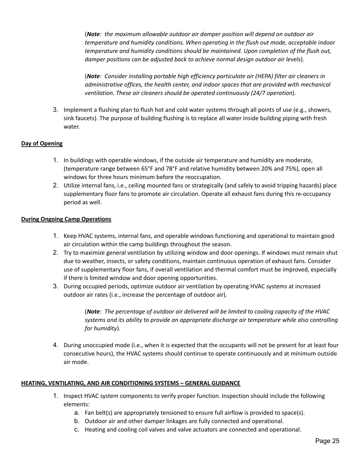(*Note: the maximum allowable outdoor air damper position will depend on outdoor air temperature and humidity conditions. When operating in the flush out mode, acceptable indoor temperature and humidity conditions should be maintained. Upon completion of the flush out, damper positions can be adjusted back to achieve normal design outdoor air levels*).

(*Note: Consider installing portable high efficiency particulate air (HEPA) filter air cleaners in administrative offices, the health center, and indoor spaces that are provided with mechanical ventilation. These air cleaners should be operated continuously (24/7 operation*).

3. Implement a flushing plan to flush hot and cold water systems through all points of use (e.g., showers, sink faucets). The purpose of building flushing is to replace all water inside building piping with fresh water.

#### **Day of Opening**

- 1. In buildings with operable windows, if the outside air temperature and humidity are moderate, (temperature range between 65°F and 78°F and relative humidity between 20% and 75%), open all windows for three hours minimum before the reoccupation.
- 2. Utilize internal fans, i.e., ceiling mounted fans or strategically (and safely to avoid tripping hazards) place supplementary floor fans to promote air circulation. Operate all exhaust fans during this re-occupancy period as well.

#### **During Ongoing Camp Operations**

- 1. Keep HVAC systems, internal fans, and operable windows functioning and operational to maintain good air circulation within the camp buildings throughout the season.
- 2. Try to maximize general ventilation by utilizing window and door openings. If windows must remain shut due to weather, insects, or safety conditions, maintain continuous operation of exhaust fans. Consider use of supplementary floor fans, if overall ventilation and thermal comfort must be improved, especially if there is limited window and door opening opportunities.
- 3. During occupied periods, optimize outdoor air ventilation by operating HVAC systems at increased outdoor air rates (i.e., increase the percentage of outdoor air).

(*Note: The percentage of outdoor air delivered will be limited to cooling capacity of the HVAC systems and its ability to provide an appropriate discharge air temperature while also controlling for humidity*).

4. During unoccupied mode (i.e., when it is expected that the occupants will not be present for at least four consecutive hours), the HVAC systems should continue to operate continuously and at minimum outside air mode.

#### **HEATING, VENTILATING, AND AIR CONDITIONING SYSTEMS – GENERAL GUIDANCE**

- 1. Inspect HVAC system components to verify proper function. Inspection should include the following elements:
	- a. Fan belt(s) are appropriately tensioned to ensure full airflow is provided to space(s).
	- b. Outdoor air and other damper linkages are fully connected and operational.
	- c. Heating and cooling coil valves and valve actuators are connected and operational.